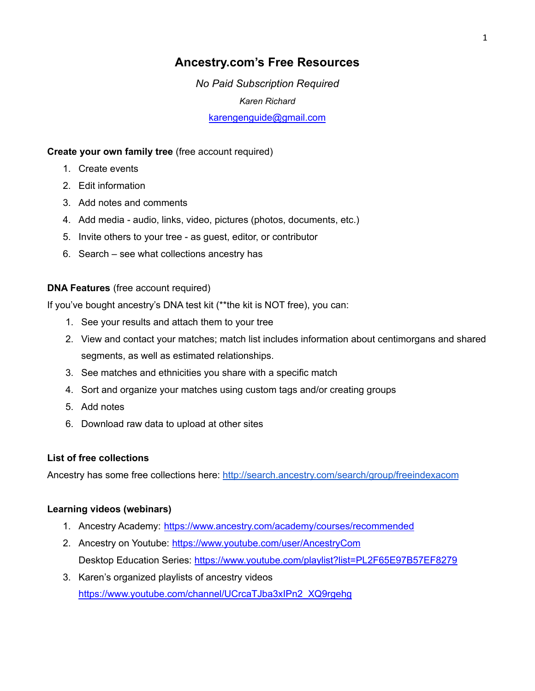# **Ancestry.com's Free Resources**

*No Paid Subscription Required Karen Richard* [karengenguide@gmail.com](mailto:karengenguide@gmail.com)

### **Create your own family tree** (free account required)

- 1. Create events
- 2. Edit information
- 3. Add notes and comments
- 4. Add media audio, links, video, pictures (photos, documents, etc.)
- 5. Invite others to your tree as guest, editor, or contributor
- 6. Search see what collections ancestry has

## **DNA Features** (free account required)

If you've bought ancestry's DNA test kit (\*\*the kit is NOT free), you can:

- 1. See your results and attach them to your tree
- 2. View and contact your matches; match list includes information about centimorgans and shared segments, as well as estimated relationships.
- 3. See matches and ethnicities you share with a specific match
- 4. Sort and organize your matches using custom tags and/or creating groups
- 5. Add notes
- 6. Download raw data to upload at other sites

### **List of free collections**

Ancestry has some free collections here: <http://search.ancestry.com/search/group/freeindexacom>

## **Learning videos (webinars)**

- 1. Ancestry Academy: <https://www.ancestry.com/academy/courses/recommended>
- 2. Ancestry on Youtube: <https://www.youtube.com/user/AncestryCom> Desktop Education Series: <https://www.youtube.com/playlist?list=PL2F65E97B57EF8279>
- 3. Karen's organized playlists of ancestry videos [https://www.youtube.com/channel/UCrcaTJba3xIPn2\\_XQ9rgehg](https://www.youtube.com/channel/UCrcaTJba3xIPn2_XQ9rgehg)